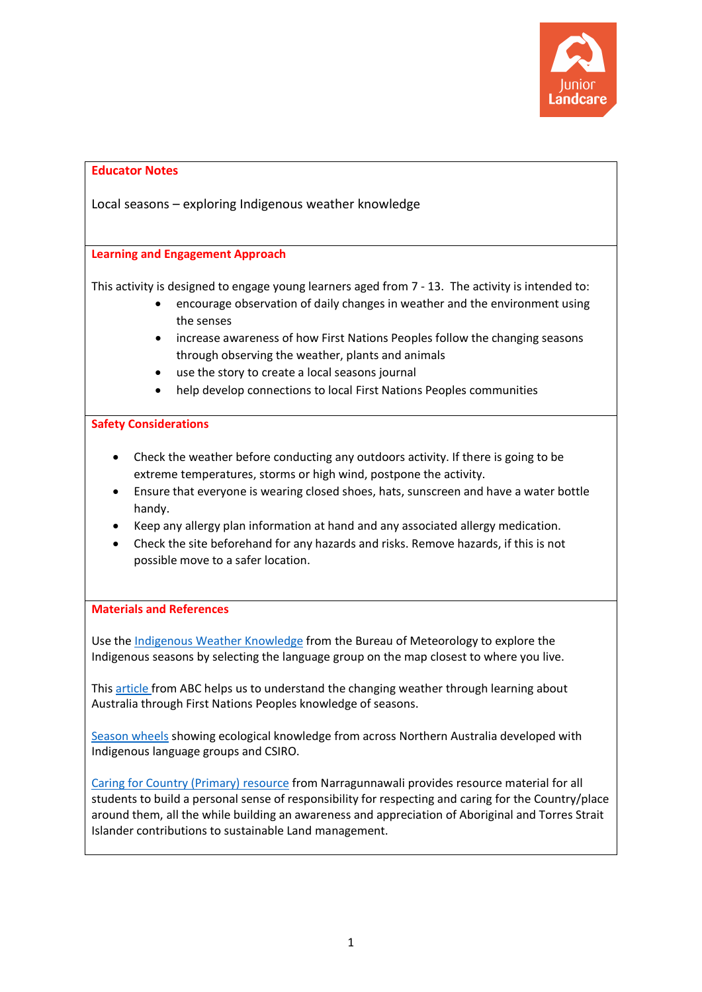

# **Educator Notes** Local seasons – exploring Indigenous weather knowledge **Learning and Engagement Approach** This activity is designed to engage young learners aged from 7 - 13. The activity is intended to: • encourage observation of daily changes in weather and the environment using the senses • increase awareness of how First Nations Peoples follow the changing seasons through observing the weather, plants and animals use the story to create a local seasons journal help develop connections to local First Nations Peoples communities **Safety Considerations** • Check the weather before conducting any outdoors activity. If there is going to be extreme temperatures, storms or high wind, postpone the activity. • Ensure that everyone is wearing closed shoes, hats, sunscreen and have a water bottle handy. • Keep any allergy plan information at hand and any associated allergy medication. • Check the site beforehand for any hazards and risks. Remove hazards, if this is not possible move to a safer location. **Materials and References** Use the [Indigenous Weather Knowledge](http://www.bom.gov.au/iwk/) from the Bureau of Meteorology to explore the Indigenous seasons by selecting the language group on the map closest to where you live. This [article](https://www.abc.net.au/news/2017-09-01/indigenous-knowledge-helping-to-understand-changing-weather/8861124) from ABC helps us to understand the changing weather through learning about Australia through First Nations Peoples knowledge of seasons. [Season wheels](https://www.csiro.au/en/Research/Environment/Land-management/Indigenous/Indigenous-calendars) showing ecological knowledge from across Northern Australia developed with Indigenous language groups and CSIRO. [Caring for Country \(Primary\) resource](https://www.narragunnawali.org.au/curriculum-resource/187/caring-for-country-primary) from Narragunnawali provides resource material for all students to build a personal sense of responsibility for respecting and caring for the Country/place around them, all the while building an awareness and appreciation of Aboriginal and Torres Strait Islander contributions to sustainable Land management.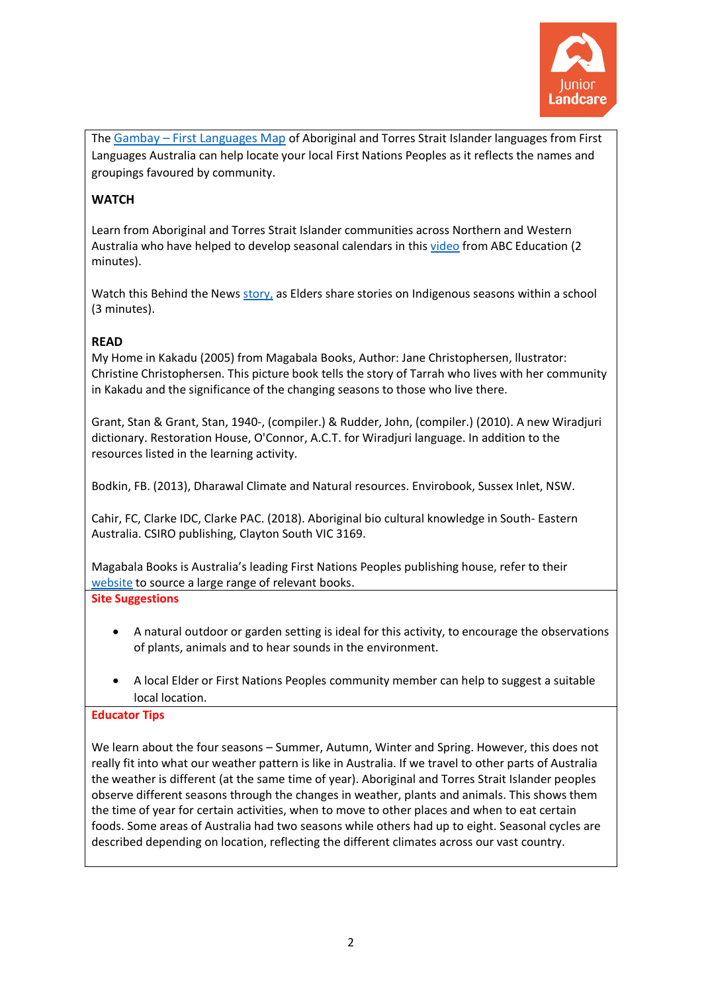

The Gambay – [First Languages Map](https://gambay.com.au/) of Aboriginal and Torres Strait Islander languages from First Languages Australia can help locate your local First Nations Peoples as it reflects the names and groupings favoured by community.

# **WATCH**

Learn from Aboriginal and Torres Strait Islander communities across Northern and Western Australia who have helped to develop seasonal calendars in this video from ABC Education (2 minutes).

Watch this Behind the News [story,](https://www.abc.net.au/btn/classroom/indigenous-seasons/10522128) as Elders share stories on Indigenous seasons within a school (3 minutes).

## **READ**

My Home in Kakadu (2005) from Magabala Books, Author: [Jane Christophersen,](https://www.magabala.com/collections/jane-christophersen) llustrator: Christine Christophersen. This picture book tells the story of Tarrah who lives with her community in Kakadu and the significance of the changing seasons to those who live there.

Grant, Stan & Grant, Stan, 1940-, (compiler.) & Rudder, John, (compiler.) (2010). A new Wiradjuri dictionary. Restoration House, O'Connor, A.C.T. for Wiradjuri language. In addition to the resources listed in the learning activity.

Bodkin, FB. (2013), Dharawal Climate and Natural resources. Envirobook, Sussex Inlet, NSW.

Cahir, FC, Clarke IDC, Clarke PAC. (2018). Aboriginal bio cultural knowledge in South- Eastern Australia. CSIRO publishing, Clayton South VIC 3169.

Magabala Books is Australia's leading First Nations Peoples publishing house, refer to their [website](https://www.magabala.com/) to source a large range of relevant books.

**Site Suggestions**

- A natural outdoor or garden setting is ideal for this activity, to encourage the observations of plants, animals and to hear sounds in the environment.
- A local Elder or First Nations Peoples community member can help to suggest a suitable local location.

## **Educator Tips**

We learn about the four seasons – Summer, Autumn, Winter and Spring. However, this does not really fit into what our weather pattern is like in Australia. If we travel to other parts of Australia the weather is different (at the same time of year). Aboriginal and Torres Strait Islander peoples observe different seasons through the changes in weather, plants and animals. This shows them the time of year for certain activities, when to move to other places and when to eat certain foods. Some areas of Australia had two seasons while others had up to eight. Seasonal cycles are described depending on location, reflecting the different climates across our vast country.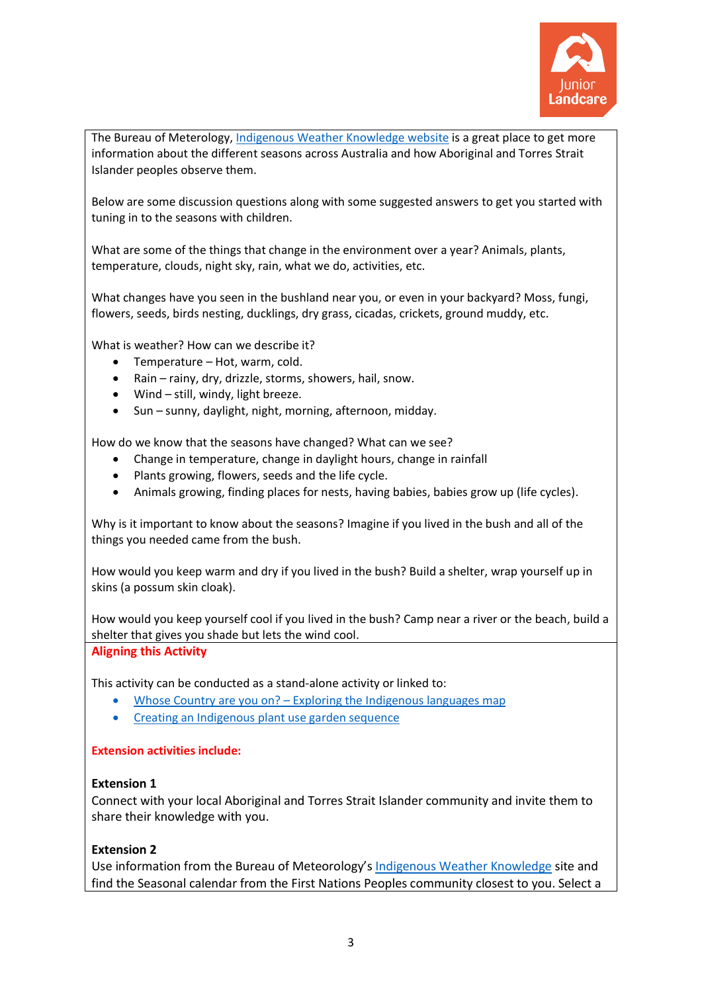

The Bureau of Meterology, [Indigenous Weather Knowledge](http://www.bom.gov.au/iwk/) website is a great place to get more information about the different seasons across Australia and how Aboriginal and Torres Strait Islander peoples observe them.

Below are some discussion questions along with some suggested answers to get you started with tuning in to the seasons with children.

What are some of the things that change in the environment over a year? Animals, plants, temperature, clouds, night sky, rain, what we do, activities, etc.

What changes have you seen in the bushland near you, or even in your backyard? Moss, fungi, flowers, seeds, birds nesting, ducklings, dry grass, cicadas, crickets, ground muddy, etc.

What is weather? How can we describe it?

- Temperature Hot, warm, cold.
- Rain rainy, dry, drizzle, storms, showers, hail, snow.
- Wind still, windy, light breeze.
- Sun sunny, daylight, night, morning, afternoon, midday.

How do we know that the seasons have changed? What can we see?

- Change in temperature, change in daylight hours, change in rainfall
- Plants growing, flowers, seeds and the life cycle.
- Animals growing, finding places for nests, having babies, babies grow up (life cycles).

Why is it important to know about the seasons? Imagine if you lived in the bush and all of the things you needed came from the bush.

How would you keep warm and dry if you lived in the bush? Build a shelter, wrap yourself up in skins (a possum skin cloak).

How would you keep yourself cool if you lived in the bush? Camp near a river or the beach, build a shelter that gives you shade but lets the wind cool.

## **Aligning this Activity**

This activity can be conducted as a stand-alone activity or linked to:

- Whose Country are you on? Exploring the Indigenous languages map
- Creating an Indigenous plant use garden sequence

## **Extension activities include:**

## **Extension 1**

Connect with your local Aboriginal and Torres Strait Islander community and invite them to share their knowledge with you.

## **Extension 2**

Use information from the Bureau of Meteorology's [Indigenous Weather Knowledge](http://www.bom.gov.au/iwk/index.shtml) site and find the Seasonal calendar from the First Nations Peoples community closest to you. Select a